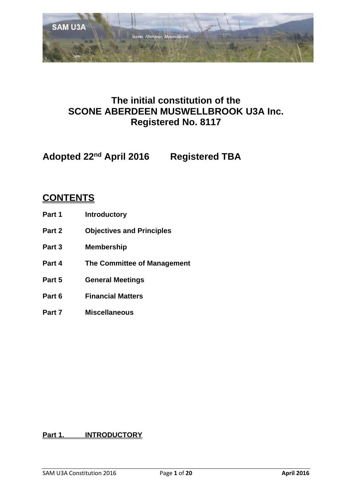

# **The initial constitution of the SCONE ABERDEEN MUSWELLBROOK U3A Inc. Registered No. 8117**

**Adopted 22nd April 2016 Registered TBA**

# **CONTENTS**

- **Part 1 Introductory**
- **Part 2 Objectives and Principles**
- **Part 3 Membership**
- **Part 4 The Committee of Management**
- **Part 5 General Meetings**
- **Part 6 Financial Matters**
- **Part 7 Miscellaneous**

# **Part 1. INTRODUCTORY**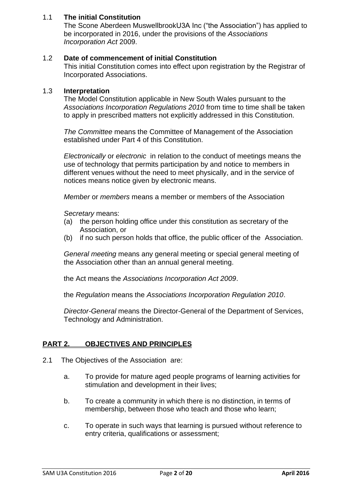# 1.1 **The initial Constitution**

The Scone Aberdeen MuswellbrookU3A Inc ("the Association") has applied to be incorporated in 2016, under the provisions of the *Associations Incorporation Act* 2009.

# 1.2 **Date of commencement of initial Constitution**

This initial Constitution comes into effect upon registration by the Registrar of Incorporated Associations.

#### 1.3 **Interpretation**

The Model Constitution applicable in New South Wales pursuant to the *Associations Incorporation Regulations 2010* from time to time shall be taken to apply in prescribed matters not explicitly addressed in this Constitution.

*The Committee* means the Committee of Management of the Association established under Part 4 of this Constitution.

*Electronically* or *electronic* in relation to the conduct of meetings means the use of technology that permits participation by and notice to members in different venues without the need to meet physically, and in the service of notices means notice given by electronic means.

*Member* or *members* means a member or members of the Association

*Secretary* means:

- (a) the person holding office under this constitution as secretary of the Association, or
- (b) if no such person holds that office, the public officer of the Association.

*General meeting* means any general meeting or special general meeting of the Association other than an annual general meeting.

the Act means the *Associations Incorporation Act 2009*.

the *Regulation* means the *Associations Incorporation Regulation 2010*.

*Director-General* means the Director-General of the Department of Services, Technology and Administration.

# **PART 2. OBJECTIVES AND PRINCIPLES**

- 2.1 The Objectives of the Association are:
	- a. To provide for mature aged people programs of learning activities for stimulation and development in their lives;
	- b. To create a community in which there is no distinction, in terms of membership, between those who teach and those who learn;
	- c. To operate in such ways that learning is pursued without reference to entry criteria, qualifications or assessment;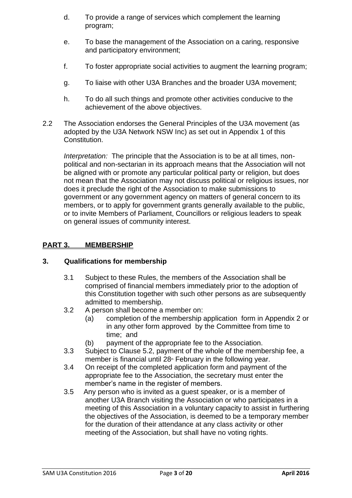- d. To provide a range of services which complement the learning program;
- e. To base the management of the Association on a caring, responsive and participatory environment;
- f. To foster appropriate social activities to augment the learning program;
- g. To liaise with other U3A Branches and the broader U3A movement;
- h. To do all such things and promote other activities conducive to the achievement of the above objectives.
- 2.2 The Association endorses the General Principles of the U3A movement (as adopted by the U3A Network NSW Inc) as set out in Appendix 1 of this Constitution.

*Interpretation:* The principle that the Association is to be at all times, nonpolitical and non-sectarian in its approach means that the Association will not be aligned with or promote any particular political party or religion, but does not mean that the Association may not discuss political or religious issues, nor does it preclude the right of the Association to make submissions to government or any government agency on matters of general concern to its members, or to apply for government grants generally available to the public, or to invite Members of Parliament, Councillors or religious leaders to speak on general issues of community interest.

# **PART 3. MEMBERSHIP**

# **3. Qualifications for membership**

- 3.1 Subject to these Rules, the members of the Association shall be comprised of financial members immediately prior to the adoption of this Constitution together with such other persons as are subsequently admitted to membership.
- 3.2 A person shall become a member on:
	- (a) completion of the membership application form in Appendix 2 or in any other form approved by the Committee from time to time; and
	- (b) payment of the appropriate fee to the Association.
- 3.3 Subject to Clause 5.2, payment of the whole of the membership fee, a member is financial until  $28<sup>*</sup>$  February in the following year.
- 3.4 On receipt of the completed application form and payment of the appropriate fee to the Association, the secretary must enter the member's name in the register of members.
- 3.5 Any person who is invited as a guest speaker, or is a member of another U3A Branch visiting the Association or who participates in a meeting of this Association in a voluntary capacity to assist in furthering the objectives of the Association, is deemed to be a temporary member for the duration of their attendance at any class activity or other meeting of the Association, but shall have no voting rights.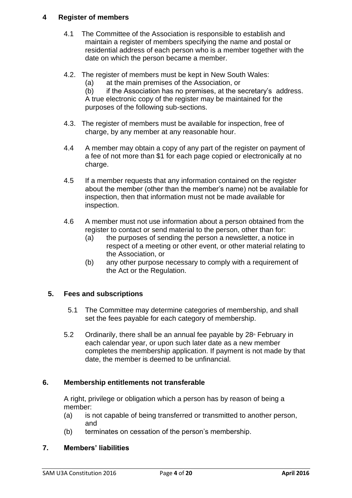# **4 Register of members**

- 4.1 The Committee of the Association is responsible to establish and maintain a register of members specifying the name and postal or residential address of each person who is a member together with the date on which the person became a member.
- 4.2. The register of members must be kept in New South Wales:
	- (a) at the main premises of the Association, or

(b) if the Association has no premises, at the secretary's address. A true electronic copy of the register may be maintained for the purposes of the following sub-sections.

- 4.3. The register of members must be available for inspection, free of charge, by any member at any reasonable hour.
- 4.4 A member may obtain a copy of any part of the register on payment of a fee of not more than \$1 for each page copied or electronically at no charge.
- 4.5 If a member requests that any information contained on the register about the member (other than the member's name) not be available for inspection, then that information must not be made available for inspection.
- 4.6 A member must not use information about a person obtained from the register to contact or send material to the person, other than for:
	- (a) the purposes of sending the person a newsletter, a notice in respect of a meeting or other event, or other material relating to the Association, or
	- (b) any other purpose necessary to comply with a requirement of the Act or the Regulation.

# **5. Fees and subscriptions**

- 5.1 The Committee may determine categories of membership, and shall set the fees payable for each category of membership.
- 5.2 Ordinarily, there shall be an annual fee payable by  $28<sup>th</sup>$  February in each calendar year, or upon such later date as a new member completes the membership application. If payment is not made by that date, the member is deemed to be unfinancial.

# **6. Membership entitlements not transferable**

A right, privilege or obligation which a person has by reason of being a member:

- (a) is not capable of being transferred or transmitted to another person, and
- (b) terminates on cessation of the person's membership.

# **7. Members' liabilities**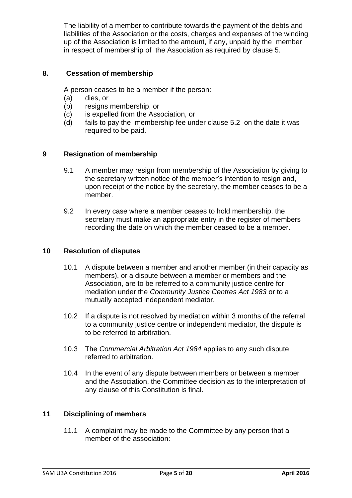The liability of a member to contribute towards the payment of the debts and liabilities of the Association or the costs, charges and expenses of the winding up of the Association is limited to the amount, if any, unpaid by the member in respect of membership of the Association as required by clause 5.

# **8. Cessation of membership**

A person ceases to be a member if the person:

- (a) dies, or
- (b) resigns membership, or
- (c) is expelled from the Association, or
- (d) fails to pay the membership fee under clause 5.2 on the date it was required to be paid.

# **9 Resignation of membership**

- 9.1 A member may resign from membership of the Association by giving to the secretary written notice of the member's intention to resign and, upon receipt of the notice by the secretary, the member ceases to be a member.
- 9.2 In every case where a member ceases to hold membership, the secretary must make an appropriate entry in the register of members recording the date on which the member ceased to be a member.

#### **10 Resolution of disputes**

- 10.1 A dispute between a member and another member (in their capacity as members), or a dispute between a member or members and the Association, are to be referred to a community justice centre for mediation under the *Community Justice Centres Act 1983* or to a mutually accepted independent mediator.
- 10.2 If a dispute is not resolved by mediation within 3 months of the referral to a community justice centre or independent mediator, the dispute is to be referred to arbitration.
- 10.3 The *Commercial Arbitration Act 1984* applies to any such dispute referred to arbitration.
- 10.4 In the event of any dispute between members or between a member and the Association, the Committee decision as to the interpretation of any clause of this Constitution is final.

# **11 Disciplining of members**

11.1 A complaint may be made to the Committee by any person that a member of the association: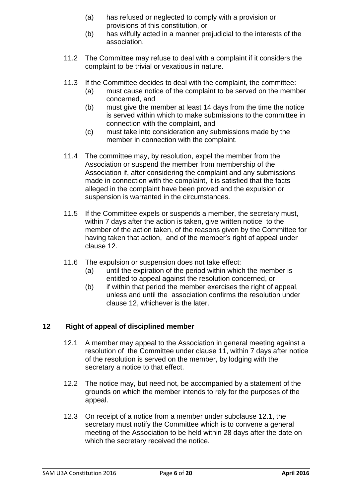- (a) has refused or neglected to comply with a provision or provisions of this constitution, or
- (b) has wilfully acted in a manner prejudicial to the interests of the association.
- 11.2 The Committee may refuse to deal with a complaint if it considers the complaint to be trivial or vexatious in nature.
- 11.3 If the Committee decides to deal with the complaint, the committee:
	- (a) must cause notice of the complaint to be served on the member concerned, and
	- (b) must give the member at least 14 days from the time the notice is served within which to make submissions to the committee in connection with the complaint, and
	- (c) must take into consideration any submissions made by the member in connection with the complaint.
- 11.4 The committee may, by resolution, expel the member from the Association or suspend the member from membership of the Association if, after considering the complaint and any submissions made in connection with the complaint, it is satisfied that the facts alleged in the complaint have been proved and the expulsion or suspension is warranted in the circumstances.
- 11.5 If the Committee expels or suspends a member, the secretary must, within 7 days after the action is taken, give written notice to the member of the action taken, of the reasons given by the Committee for having taken that action, and of the member's right of appeal under clause 12.
- 11.6 The expulsion or suspension does not take effect:
	- (a) until the expiration of the period within which the member is entitled to appeal against the resolution concerned, or
	- (b) if within that period the member exercises the right of appeal, unless and until the association confirms the resolution under clause 12, whichever is the later.

# **12 Right of appeal of disciplined member**

- 12.1 A member may appeal to the Association in general meeting against a resolution of the Committee under clause 11, within 7 days after notice of the resolution is served on the member, by lodging with the secretary a notice to that effect.
- 12.2 The notice may, but need not, be accompanied by a statement of the grounds on which the member intends to rely for the purposes of the appeal.
- 12.3 On receipt of a notice from a member under subclause 12.1, the secretary must notify the Committee which is to convene a general meeting of the Association to be held within 28 days after the date on which the secretary received the notice.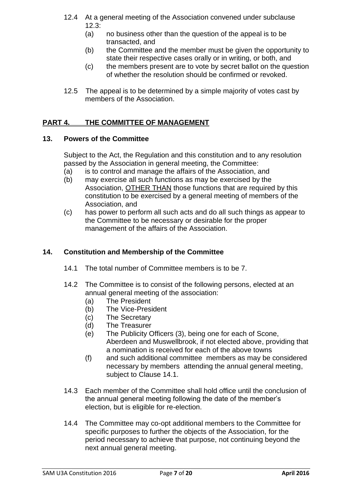- 12.4 At a general meeting of the Association convened under subclause  $12.3:$ 
	- (a) no business other than the question of the appeal is to be transacted, and
	- (b) the Committee and the member must be given the opportunity to state their respective cases orally or in writing, or both, and
	- (c) the members present are to vote by secret ballot on the question of whether the resolution should be confirmed or revoked.
- 12.5 The appeal is to be determined by a simple majority of votes cast by members of the Association.

# **PART 4. THE COMMITTEE OF MANAGEMENT**

# **13. Powers of the Committee**

Subject to the Act, the Regulation and this constitution and to any resolution passed by the Association in general meeting, the Committee:

- (a) is to control and manage the affairs of the Association, and
- (b) may exercise all such functions as may be exercised by the Association, OTHER THAN those functions that are required by this constitution to be exercised by a general meeting of members of the Association, and
- (c) has power to perform all such acts and do all such things as appear to the Committee to be necessary or desirable for the proper management of the affairs of the Association.

# **14. Constitution and Membership of the Committee**

- 14.1 The total number of Committee members is to be 7.
- 14.2 The Committee is to consist of the following persons, elected at an annual general meeting of the association:
	- (a) The President
	- (b) The Vice-President
	- (c) The Secretary
	- (d) The Treasurer
	- (e) The Publicity Officers (3), being one for each of Scone, Aberdeen and Muswellbrook, if not elected above, providing that a nomination is received for each of the above towns
	- (f) and such additional committee members as may be considered necessary by members attending the annual general meeting, subject to Clause 14.1.
- 14.3 Each member of the Committee shall hold office until the conclusion of the annual general meeting following the date of the member's election, but is eligible for re-election.
- 14.4 The Committee may co-opt additional members to the Committee for specific purposes to further the objects of the Association, for the period necessary to achieve that purpose, not continuing beyond the next annual general meeting.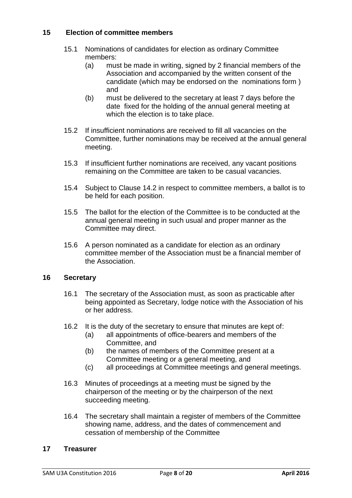# **15 Election of committee members**

- 15.1 Nominations of candidates for election as ordinary Committee members:
	- (a) must be made in writing, signed by 2 financial members of the Association and accompanied by the written consent of the candidate (which may be endorsed on the nominations form ) and
	- (b) must be delivered to the secretary at least 7 days before the date fixed for the holding of the annual general meeting at which the election is to take place.
- 15.2 If insufficient nominations are received to fill all vacancies on the Committee, further nominations may be received at the annual general meeting.
- 15.3 If insufficient further nominations are received, any vacant positions remaining on the Committee are taken to be casual vacancies.
- 15.4 Subject to Clause 14.2 in respect to committee members, a ballot is to be held for each position.
- 15.5 The ballot for the election of the Committee is to be conducted at the annual general meeting in such usual and proper manner as the Committee may direct.
- 15.6 A person nominated as a candidate for election as an ordinary committee member of the Association must be a financial member of the Association.

# **16 Secretary**

- 16.1 The secretary of the Association must, as soon as practicable after being appointed as Secretary, lodge notice with the Association of his or her address.
- 16.2 It is the duty of the secretary to ensure that minutes are kept of:
	- (a) all appointments of office-bearers and members of the Committee, and
	- (b) the names of members of the Committee present at a Committee meeting or a general meeting, and
	- (c) all proceedings at Committee meetings and general meetings.
- 16.3 Minutes of proceedings at a meeting must be signed by the chairperson of the meeting or by the chairperson of the next succeeding meeting.
- 16.4 The secretary shall maintain a register of members of the Committee showing name, address, and the dates of commencement and cessation of membership of the Committee

#### **17 Treasurer**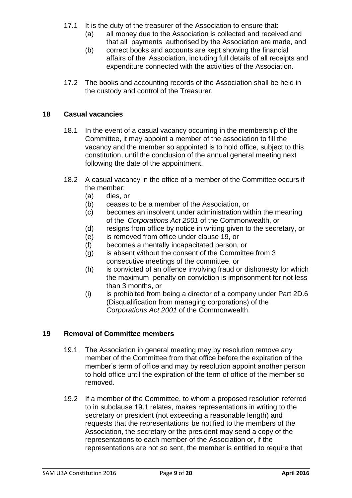- 17.1 It is the duty of the treasurer of the Association to ensure that:
	- (a) all money due to the Association is collected and received and that all payments authorised by the Association are made, and
	- (b) correct books and accounts are kept showing the financial affairs of the Association, including full details of all receipts and expenditure connected with the activities of the Association.
- 17.2 The books and accounting records of the Association shall be held in the custody and control of the Treasurer.

# **18 Casual vacancies**

- 18.1 In the event of a casual vacancy occurring in the membership of the Committee, it may appoint a member of the association to fill the vacancy and the member so appointed is to hold office, subject to this constitution, until the conclusion of the annual general meeting next following the date of the appointment.
- 18.2 A casual vacancy in the office of a member of the Committee occurs if the member:
	- (a) dies, or
	- (b) ceases to be a member of the Association, or
	- (c) becomes an insolvent under administration within the meaning of the *Corporations Act 2001* of the Commonwealth, or
	- (d) resigns from office by notice in writing given to the secretary, or
	- (e) is removed from office under clause 19, or
	- (f) becomes a mentally incapacitated person, or
	- (g) is absent without the consent of the Committee from 3 consecutive meetings of the committee, or
	- (h) is convicted of an offence involving fraud or dishonesty for which the maximum penalty on conviction is imprisonment for not less than 3 months, or
	- (i) is prohibited from being a director of a company under Part 2D.6 (Disqualification from managing corporations) of the *Corporations Act 2001* of the Commonwealth.

# **19 Removal of Committee members**

- 19.1 The Association in general meeting may by resolution remove any member of the Committee from that office before the expiration of the member's term of office and may by resolution appoint another person to hold office until the expiration of the term of office of the member so removed.
- 19.2 If a member of the Committee, to whom a proposed resolution referred to in subclause 19.1 relates, makes representations in writing to the secretary or president (not exceeding a reasonable length) and requests that the representations be notified to the members of the Association, the secretary or the president may send a copy of the representations to each member of the Association or, if the representations are not so sent, the member is entitled to require that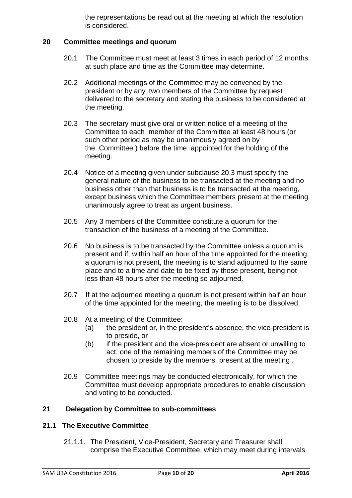the representations be read out at the meeting at which the resolution is considered.

#### **20 Committee meetings and quorum**

- 20.1 The Committee must meet at least 3 times in each period of 12 months at such place and time as the Committee may determine.
- 20.2 Additional meetings of the Committee may be convened by the president or by any two members of the Committee by request delivered to the secretary and stating the business to be considered at the meeting.
- 20.3 The secretary must give oral or written notice of a meeting of the Committee to each member of the Committee at least 48 hours (or such other period as may be unanimously agreed on by the Committee ) before the time appointed for the holding of the meeting.
- 20.4 Notice of a meeting given under subclause 20.3 must specify the general nature of the business to be transacted at the meeting and no business other than that business is to be transacted at the meeting, except business which the Committee members present at the meeting unanimously agree to treat as urgent business.
- 20.5 Any 3 members of the Committee constitute a quorum for the transaction of the business of a meeting of the Committee.
- 20.6 No business is to be transacted by the Committee unless a quorum is present and if, within half an hour of the time appointed for the meeting, a quorum is not present, the meeting is to stand adjourned to the same place and to a time and date to be fixed by those present, being not less than 48 hours after the meeting so adjourned.
- 20.7 If at the adjourned meeting a quorum is not present within half an hour of the time appointed for the meeting, the meeting is to be dissolved.
- 20.8 At a meeting of the Committee:
	- (a) the president or, in the president's absence, the vice-president is to preside, or
	- (b) if the president and the vice-president are absent or unwilling to act, one of the remaining members of the Committee may be chosen to preside by the members present at the meeting .
- 20.9 Committee meetings may be conducted electronically, for which the Committee must develop appropriate procedures to enable discussion and voting to be conducted.

# **21 Delegation by Committee to sub-committees**

#### **21.1 The Executive Committee**

21.1.1. The President, Vice-President, Secretary and Treasurer shall comprise the Executive Committee, which may meet during intervals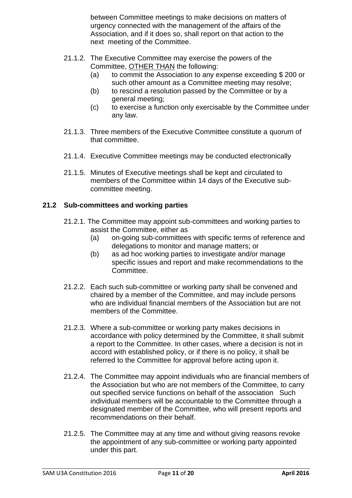between Committee meetings to make decisions on matters of urgency connected with the management of the affairs of the Association, and if it does so, shall report on that action to the next meeting of the Committee.

- 21.1.2. The Executive Committee may exercise the powers of the Committee, OTHER THAN the following:
	- (a) to commit the Association to any expense exceeding \$ 200 or such other amount as a Committee meeting may resolve;
	- (b) to rescind a resolution passed by the Committee or by a general meeting;
	- (c) to exercise a function only exercisable by the Committee under any law.
- 21.1.3. Three members of the Executive Committee constitute a quorum of that committee.
- 21.1.4. Executive Committee meetings may be conducted electronically
- 21.1.5. Minutes of Executive meetings shall be kept and circulated to members of the Committee within 14 days of the Executive subcommittee meeting.

# **21.2 Sub-committees and working parties**

- 21.2.1. The Committee may appoint sub-committees and working parties to assist the Committee, either as
	- (a) on-going sub-committees with specific terms of reference and delegations to monitor and manage matters; or
	- (b) as ad hoc working parties to investigate and/or manage specific issues and report and make recommendations to the Committee.
- 21.2.2. Each such sub-committee or working party shall be convened and chaired by a member of the Committee, and may include persons who are individual financial members of the Association but are not members of the Committee.
- 21.2.3. Where a sub-committee or working party makes decisions in accordance with policy determined by the Committee, it shall submit a report to the Committee. In other cases, where a decision is not in accord with established policy, or if there is no policy, it shall be referred to the Committee for approval before acting upon it.
- 21.2.4. The Committee may appoint individuals who are financial members of the Association but who are not members of the Committee, to carry out specified service functions on behalf of the association Such individual members will be accountable to the Committee through a designated member of the Committee, who will present reports and recommendations on their behalf.
- 21.2.5. The Committee may at any time and without giving reasons revoke the appointment of any sub-committee or working party appointed under this part.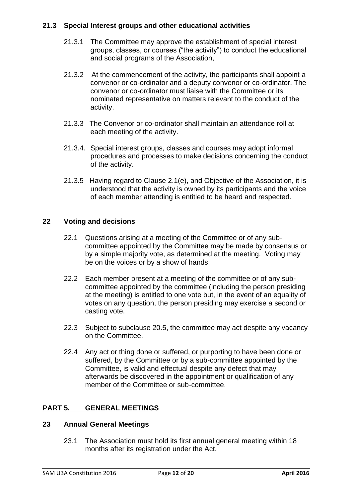# **21.3 Special Interest groups and other educational activities**

- 21.3.1 The Committee may approve the establishment of special interest groups, classes, or courses ("the activity") to conduct the educational and social programs of the Association,
- 21.3.2 At the commencement of the activity, the participants shall appoint a convenor or co-ordinator and a deputy convenor or co-ordinator. The convenor or co-ordinator must liaise with the Committee or its nominated representative on matters relevant to the conduct of the activity.
- 21.3.3 The Convenor or co-ordinator shall maintain an attendance roll at each meeting of the activity.
- 21.3.4. Special interest groups, classes and courses may adopt informal procedures and processes to make decisions concerning the conduct of the activity.
- 21.3.5 Having regard to Clause 2.1(e), and Objective of the Association, it is understood that the activity is owned by its participants and the voice of each member attending is entitled to be heard and respected.

# **22 Voting and decisions**

- 22.1 Questions arising at a meeting of the Committee or of any subcommittee appointed by the Committee may be made by consensus or by a simple majority vote, as determined at the meeting. Voting may be on the voices or by a show of hands.
- 22.2 Each member present at a meeting of the committee or of any subcommittee appointed by the committee (including the person presiding at the meeting) is entitled to one vote but, in the event of an equality of votes on any question, the person presiding may exercise a second or casting vote.
- 22.3 Subject to subclause 20.5, the committee may act despite any vacancy on the Committee.
- 22.4 Any act or thing done or suffered, or purporting to have been done or suffered, by the Committee or by a sub-committee appointed by the Committee, is valid and effectual despite any defect that may afterwards be discovered in the appointment or qualification of any member of the Committee or sub-committee.

# **PART 5. GENERAL MEETINGS**

# **23 Annual General Meetings**

23.1 The Association must hold its first annual general meeting within 18 months after its registration under the Act.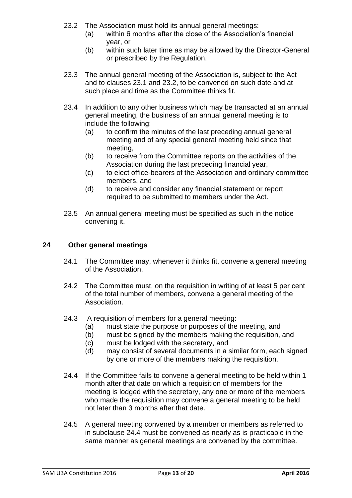- 23.2 The Association must hold its annual general meetings:
	- (a) within 6 months after the close of the Association's financial year, or
	- (b) within such later time as may be allowed by the Director-General or prescribed by the Regulation.
- 23.3 The annual general meeting of the Association is, subject to the Act and to clauses 23.1 and 23.2, to be convened on such date and at such place and time as the Committee thinks fit.
- 23.4 In addition to any other business which may be transacted at an annual general meeting, the business of an annual general meeting is to include the following:
	- (a) to confirm the minutes of the last preceding annual general meeting and of any special general meeting held since that meeting,
	- (b) to receive from the Committee reports on the activities of the Association during the last preceding financial year,
	- (c) to elect office-bearers of the Association and ordinary committee members, and
	- (d) to receive and consider any financial statement or report required to be submitted to members under the Act.
- 23.5 An annual general meeting must be specified as such in the notice convening it.

# **24 Other general meetings**

- 24.1 The Committee may, whenever it thinks fit, convene a general meeting of the Association.
- 24.2 The Committee must, on the requisition in writing of at least 5 per cent of the total number of members, convene a general meeting of the Association.
- 24.3 A requisition of members for a general meeting:
	- (a) must state the purpose or purposes of the meeting, and
	- (b) must be signed by the members making the requisition, and
	- (c) must be lodged with the secretary, and
	- (d) may consist of several documents in a similar form, each signed by one or more of the members making the requisition.
- 24.4 If the Committee fails to convene a general meeting to be held within 1 month after that date on which a requisition of members for the meeting is lodged with the secretary, any one or more of the members who made the requisition may convene a general meeting to be held not later than 3 months after that date.
- 24.5 A general meeting convened by a member or members as referred to in subclause 24.4 must be convened as nearly as is practicable in the same manner as general meetings are convened by the committee.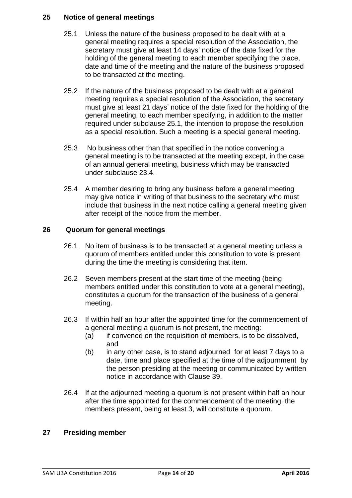# **25 Notice of general meetings**

- 25.1 Unless the nature of the business proposed to be dealt with at a general meeting requires a special resolution of the Association, the secretary must give at least 14 days' notice of the date fixed for the holding of the general meeting to each member specifying the place, date and time of the meeting and the nature of the business proposed to be transacted at the meeting.
- 25.2 If the nature of the business proposed to be dealt with at a general meeting requires a special resolution of the Association, the secretary must give at least 21 days' notice of the date fixed for the holding of the general meeting, to each member specifying, in addition to the matter required under subclause 25.1, the intention to propose the resolution as a special resolution. Such a meeting is a special general meeting.
- 25.3 No business other than that specified in the notice convening a general meeting is to be transacted at the meeting except, in the case of an annual general meeting, business which may be transacted under subclause 23.4.
- 25.4 A member desiring to bring any business before a general meeting may give notice in writing of that business to the secretary who must include that business in the next notice calling a general meeting given after receipt of the notice from the member.

# **26 Quorum for general meetings**

- 26.1 No item of business is to be transacted at a general meeting unless a quorum of members entitled under this constitution to vote is present during the time the meeting is considering that item.
- 26.2 Seven members present at the start time of the meeting (being members entitled under this constitution to vote at a general meeting), constitutes a quorum for the transaction of the business of a general meeting.
- 26.3 If within half an hour after the appointed time for the commencement of a general meeting a quorum is not present, the meeting:
	- (a) if convened on the requisition of members, is to be dissolved, and
	- (b) in any other case, is to stand adjourned for at least 7 days to a date, time and place specified at the time of the adjournment by the person presiding at the meeting or communicated by written notice in accordance with Clause 39.
- 26.4 If at the adjourned meeting a quorum is not present within half an hour after the time appointed for the commencement of the meeting, the members present, being at least 3, will constitute a quorum.

# **27 Presiding member**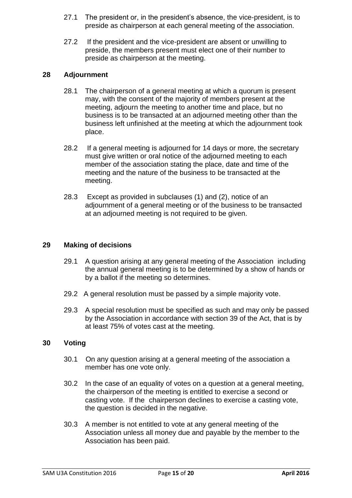- 27.1 The president or, in the president's absence, the vice-president, is to preside as chairperson at each general meeting of the association.
- 27.2 If the president and the vice-president are absent or unwilling to preside, the members present must elect one of their number to preside as chairperson at the meeting.

# **28 Adjournment**

- 28.1 The chairperson of a general meeting at which a quorum is present may, with the consent of the majority of members present at the meeting, adjourn the meeting to another time and place, but no business is to be transacted at an adjourned meeting other than the business left unfinished at the meeting at which the adjournment took place.
- 28.2 If a general meeting is adjourned for 14 days or more, the secretary must give written or oral notice of the adjourned meeting to each member of the association stating the place, date and time of the meeting and the nature of the business to be transacted at the meeting.
- 28.3 Except as provided in subclauses (1) and (2), notice of an adjournment of a general meeting or of the business to be transacted at an adjourned meeting is not required to be given.

#### **29 Making of decisions**

- 29.1 A question arising at any general meeting of the Association including the annual general meeting is to be determined by a show of hands or by a ballot if the meeting so determines.
- 29.2 A general resolution must be passed by a simple majority vote.
- 29.3 A special resolution must be specified as such and may only be passed by the Association in accordance with section 39 of the Act, that is by at least 75% of votes cast at the meeting.

# **30 Voting**

- 30.1 On any question arising at a general meeting of the association a member has one vote only.
- 30.2 In the case of an equality of votes on a question at a general meeting, the chairperson of the meeting is entitled to exercise a second or casting vote. If the chairperson declines to exercise a casting vote, the question is decided in the negative.
- 30.3 A member is not entitled to vote at any general meeting of the Association unless all money due and payable by the member to the Association has been paid.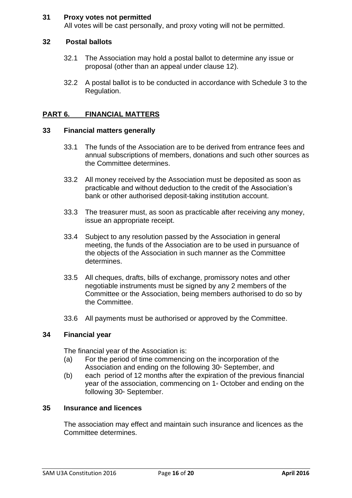# **31 Proxy votes not permitted**

All votes will be cast personally, and proxy voting will not be permitted.

#### **32 Postal ballots**

- 32.1 The Association may hold a postal ballot to determine any issue or proposal (other than an appeal under clause 12).
- 32.2 A postal ballot is to be conducted in accordance with Schedule 3 to the Regulation.

# **PART 6. FINANCIAL MATTERS**

#### **33 Financial matters generally**

- 33.1 The funds of the Association are to be derived from entrance fees and annual subscriptions of members, donations and such other sources as the Committee determines.
- 33.2 All money received by the Association must be deposited as soon as practicable and without deduction to the credit of the Association's bank or other authorised deposit-taking institution account.
- 33.3 The treasurer must, as soon as practicable after receiving any money, issue an appropriate receipt.
- 33.4 Subject to any resolution passed by the Association in general meeting, the funds of the Association are to be used in pursuance of the objects of the Association in such manner as the Committee determines.
- 33.5 All cheques, drafts, bills of exchange, promissory notes and other negotiable instruments must be signed by any 2 members of the Committee or the Association, being members authorised to do so by the Committee.
- 33.6 All payments must be authorised or approved by the Committee.

#### **34 Financial year**

The financial year of the Association is:

- (a) For the period of time commencing on the incorporation of the Association and ending on the following  $30<sup>th</sup>$  September, and
- (b) each period of 12 months after the expiration of the previous financial year of the association, commencing on  $1*$  October and ending on the following 30<sup>th</sup> September.

#### **35 Insurance and licences**

The association may effect and maintain such insurance and licences as the Committee determines.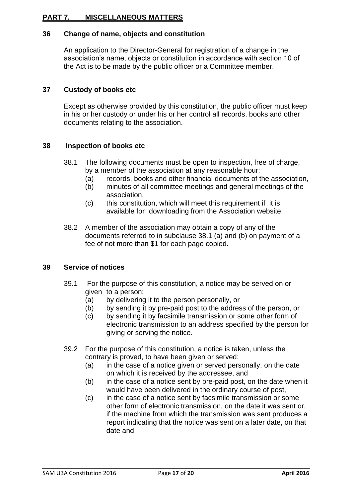# **PART 7. MISCELLANEOUS MATTERS**

# **36 Change of name, objects and constitution**

An application to the Director-General for registration of a change in the association's name, objects or constitution in accordance with section 10 of the Act is to be made by the public officer or a Committee member.

# **37 Custody of books etc**

Except as otherwise provided by this constitution, the public officer must keep in his or her custody or under his or her control all records, books and other documents relating to the association.

# **38 Inspection of books etc**

- 38.1 The following documents must be open to inspection, free of charge, by a member of the association at any reasonable hour:
	- (a) records, books and other financial documents of the association,
	- (b) minutes of all committee meetings and general meetings of the association.
	- (c) this constitution, which will meet this requirement if it is available for downloading from the Association website
- 38.2 A member of the association may obtain a copy of any of the documents referred to in subclause 38.1 (a) and (b) on payment of a fee of not more than \$1 for each page copied.

# **39 Service of notices**

- 39.1 For the purpose of this constitution, a notice may be served on or given to a person:
	- (a) by delivering it to the person personally, or
	- (b) by sending it by pre-paid post to the address of the person, or
	- (c) by sending it by facsimile transmission or some other form of electronic transmission to an address specified by the person for giving or serving the notice.
- 39.2 For the purpose of this constitution, a notice is taken, unless the contrary is proved, to have been given or served:
	- (a) in the case of a notice given or served personally, on the date on which it is received by the addressee, and
	- (b) in the case of a notice sent by pre-paid post, on the date when it would have been delivered in the ordinary course of post,
	- (c) in the case of a notice sent by facsimile transmission or some other form of electronic transmission, on the date it was sent or, if the machine from which the transmission was sent produces a report indicating that the notice was sent on a later date, on that date and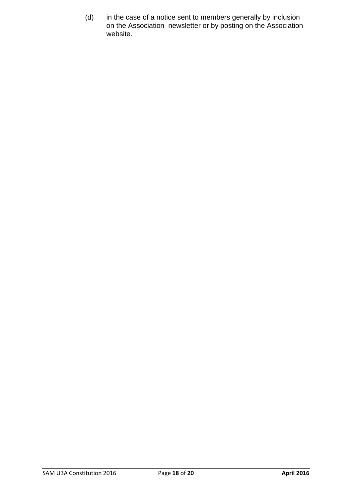(d) in the case of a notice sent to members generally by inclusion on the Association newsletter or by posting on the Association website.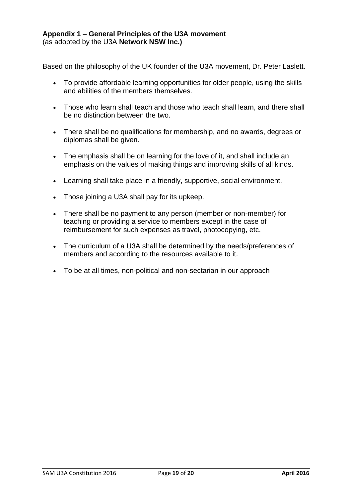Based on the philosophy of the UK founder of the U3A movement, Dr. Peter Laslett.

- To provide affordable learning opportunities for older people, using the skills and abilities of the members themselves.
- Those who learn shall teach and those who teach shall learn, and there shall be no distinction between the two.
- There shall be no qualifications for membership, and no awards, degrees or diplomas shall be given.
- The emphasis shall be on learning for the love of it, and shall include an emphasis on the values of making things and improving skills of all kinds.
- Learning shall take place in a friendly, supportive, social environment.
- Those joining a U3A shall pay for its upkeep.
- There shall be no payment to any person (member or non-member) for teaching or providing a service to members except in the case of reimbursement for such expenses as travel, photocopying, etc.
- The curriculum of a U3A shall be determined by the needs/preferences of members and according to the resources available to it.
- To be at all times, non-political and non-sectarian in our approach